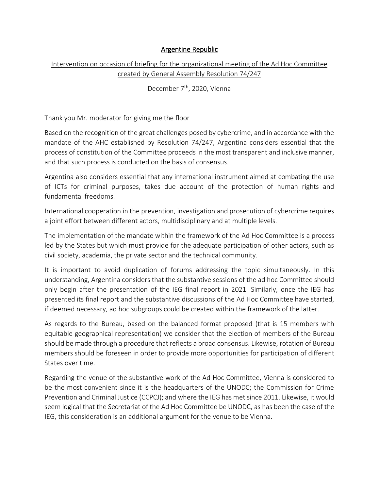## Argentine Republic

## Intervention on occasion of briefing for the organizational meeting of the Ad Hoc Committee created by General Assembly Resolution 74/247

## December 7<sup>th</sup>, 2020, Vienna

Thank you Mr. moderator for giving me the floor

Based on the recognition of the great challenges posed by cybercrime, and in accordance with the mandate of the AHC established by Resolution 74/247, Argentina considers essential that the process of constitution of the Committee proceeds in the most transparent and inclusive manner, and that such process is conducted on the basis of consensus.

Argentina also considers essential that any international instrument aimed at combating the use of ICTs for criminal purposes, takes due account of the protection of human rights and fundamental freedoms.

International cooperation in the prevention, investigation and prosecution of cybercrime requires a joint effort between different actors, multidisciplinary and at multiple levels.

The implementation of the mandate within the framework of the Ad Hoc Committee is a process led by the States but which must provide for the adequate participation of other actors, such as civil society, academia, the private sector and the technical community.

It is important to avoid duplication of forums addressing the topic simultaneously. In this understanding, Argentina considers that the substantive sessions of the ad hoc Committee should only begin after the presentation of the IEG final report in 2021. Similarly, once the IEG has presented its final report and the substantive discussions of the Ad Hoc Committee have started, if deemed necessary, ad hoc subgroups could be created within the framework of the latter.

As regards to the Bureau, based on the balanced format proposed (that is 15 members with equitable geographical representation) we consider that the election of members of the Bureau should be made through a procedure that reflects a broad consensus. Likewise, rotation of Bureau members should be foreseen in order to provide more opportunities for participation of different States over time.

Regarding the venue of the substantive work of the Ad Hoc Committee, Vienna is considered to be the most convenient since it is the headquarters of the UNODC; the Commission for Crime Prevention and Criminal Justice (CCPCJ); and where the IEG has met since 2011. Likewise, it would seem logical that the Secretariat of the Ad Hoc Committee be UNODC, as has been the case of the IEG, this consideration is an additional argument for the venue to be Vienna.